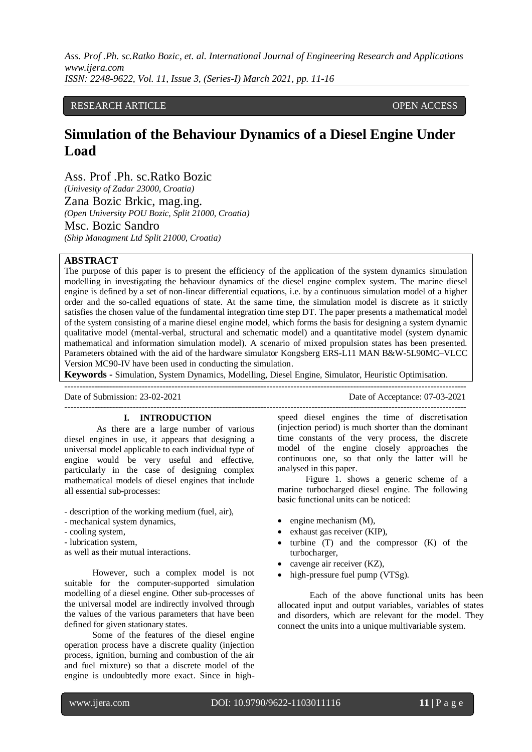# RESEARCH ARTICLE **OPEN ACCESS**

# **Simulation of the Behaviour Dynamics of a Diesel Engine Under Load**

Ass. Prof .Ph. sc.Ratko Bozic *(Univesity of Zadar 23000, Croatia)* Zana Bozic Brkic, mag.ing. *(Open University POU Bozic, Split 21000, Croatia)*

Msc. Bozic Sandro *(Ship Managment Ltd Split 21000, Croatia)*

# **ABSTRACT**

The purpose of this paper is to present the efficiency of the application of the system dynamics simulation modelling in investigating the behaviour dynamics of the diesel engine complex system. The marine diesel engine is defined by a set of non-linear differential equations, i.e. by a continuous simulation model of a higher order and the so-called equations of state. At the same time, the simulation model is discrete as it strictly satisfies the chosen value of the fundamental integration time step DT. The paper presents a mathematical model of the system consisting of a marine diesel engine model, which forms the basis for designing a system dynamic qualitative model (mental-verbal, structural and schematic model) and a quantitative model (system dynamic mathematical and information simulation model). A scenario of mixed propulsion states has been presented. Parameters obtained with the aid of the hardware simulator Kongsberg ERS-L11 MAN B&W-5L90MC–VLCC Version MC90-IV have been used in conducting the simulation.

**Keywords -** Simulation, System Dynamics, Modelling, Diesel Engine, Simulator, Heuristic Optimisation.

---------------------------------------------------------------------------------------------------------------------------------------

---------------------------------------------------------------------------------------------------------------------------------------

Date of Submission: 23-02-2021 Date of Acceptance: 07-03-2021

#### **I. INTRODUCTION**

As there are a large number of various diesel engines in use, it appears that designing a universal model applicable to each individual type of engine would be very useful and effective, particularly in the case of designing complex mathematical models of diesel engines that include all essential sub-processes:

- description of the working medium (fuel, air),
- mechanical system dynamics,
- cooling system,
- lubrication system,

as well as their mutual interactions.

However, such a complex model is not suitable for the computer-supported simulation modelling of a diesel engine. Other sub-processes of the universal model are indirectly involved through the values of the various parameters that have been defined for given stationary states.

Some of the features of the diesel engine operation process have a discrete quality (injection process, ignition, burning and combustion of the air and fuel mixture) so that a discrete model of the engine is undoubtedly more exact. Since in highspeed diesel engines the time of discretisation (injection period) is much shorter than the dominant time constants of the very process, the discrete model of the engine closely approaches the continuous one, so that only the latter will be analysed in this paper.

Figure 1. shows a generic scheme of a marine turbocharged diesel engine. The following basic functional units can be noticed:

- engine mechanism (M),
- exhaust gas receiver (KIP),
- turbine (T) and the compressor (K) of the turbocharger,
- cavenge air receiver (KZ),
- high-pressure fuel pump (VTSg).

Each of the above functional units has been allocated input and output variables, variables of states and disorders, which are relevant for the model. They connect the units into a unique multivariable system.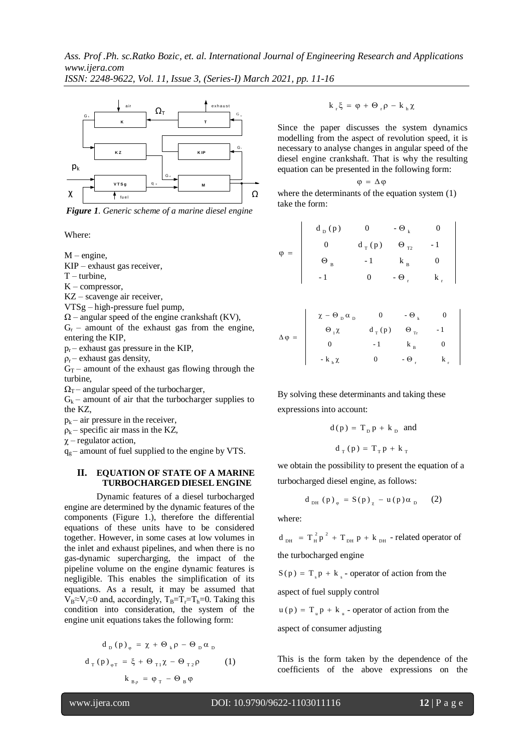*Ass. Prof .Ph. sc.Ratko Bozic, et. al. International Journal of Engineering Research and Applications www.ijera.com*

*ISSN: 2248-9622, Vol. 11, Issue 3, (Series-I) March 2021, pp. 11-16*



*Figure 1. Generic scheme of a marine diesel engine*

Where:

 $M$  – engine,

KIP – exhaust gas receiver,

 $T$  – turbine,

K – compressor,

KZ – scavenge air receiver,

VTSg – high-pressure fuel pump,

 $\Omega$  – angular speed of the engine crankshaft (KV),

 $G_r$  – amount of the exhaust gas from the engine, entering the KIP,

 $p_r$  – exhaust gas pressure in the KIP,

 $\rho_r$  – exhaust gas density,

 $G_T$  – amount of the exhaust gas flowing through the turbine,

 $\Omega_T$  – angular speed of the turbocharger,

 $G_k$  – amount of air that the turbocharger supplies to the KZ,

 $p_k$  – air pressure in the receiver,

 $\rho_k$  – specific air mass in the KZ,

 $\chi$  – regulator action,

 $q_g$  – amount of fuel supplied to the engine by VTS.

#### **II. EQUATION OF STATE OF A MARINE TURBOCHARGED DIESEL ENGINE**

Dynamic features of a diesel turbocharged engine are determined by the dynamic features of the components (Figure 1.), therefore the differential equations of these units have to be considered together. However, in some cases at low volumes in the inlet and exhaust pipelines, and when there is no gas-dynamic supercharging, the impact of the pipeline volume on the engine dynamic features is negligible. This enables the simplification of its equations. As a result, it may be assumed that  $V_B \approx V_r \approx 0$  and, accordingly,  $T_B = T_r = T_h = 0$ . Taking this condition into consideration, the system of the engine unit equations takes the following form:

$$
d_{D} (p)_{\varphi} = \chi + \Theta_{k} \rho - \Theta_{D} \alpha_{D}
$$
  

$$
d_{T} (p)_{\varphi T} = \xi + \Theta_{T1} \chi - \Theta_{T2} \rho
$$
 (1)  

$$
k_{B\rho} = \varphi_{T} - \Theta_{B} \varphi
$$

$$
k_{r}\xi = \phi + \Theta_{r}\rho - k_{h}\chi
$$

Since the paper discusses the system dynamics modelling from the aspect of revolution speed, it is necessary to analyse changes in angular speed of the diesel engine crankshaft. That is why the resulting equation can be presented in the following form:

$$
\phi\ =\ \Delta\,\phi
$$

where the determinants of the equation system (1) take the form:

$$
\varphi = \begin{vmatrix}\n d_{D}(p) & 0 & -\Theta_{k} & 0 \\
 0 & d_{T}(p) & \Theta_{T2} & -1 \\
 \Theta_{B} & -1 & k_{B} & 0 \\
 -1 & 0 & -\Theta_{r} & k_{r}\n\end{vmatrix}
$$

 $\overline{\phantom{a}}$ 

$$
\Delta \varphi = \begin{vmatrix}\n\chi - \Theta_{D} \alpha_{D} & 0 & -\Theta_{k} & 0 \\
\Theta_{1} \chi & d_{T}(p) & \Theta_{Tr} & -1 \\
0 & -1 & k_{B} & 0 \\
-k_{B} \chi & 0 & -\Theta_{r} & k_{r}\n\end{vmatrix}
$$

By solving these determinants and taking these expressions into account:

$$
d(p) = T_p p + k_p \text{ and}
$$

$$
d_T(p) = T_T p + k_T
$$

we obtain the possibility to present the equation of a turbocharged diesel engine, as follows:

$$
d_{DH} (p)_{\varphi} = S(p)_{\chi} - u(p) \alpha_{D} (2)
$$

where:

 $PH P$   $\sim$  DH 2 2  $d_{DH}$  =  $T_H^2 p^2 + T_{DH} p + k_{DH}$  - related operator of the turbocharged engine

 $S(p) = T_s p + k_s$  - operator of action from the

aspect of fuel supply control

 $u(p) = T_{u} p + k_{u}$  - operator of action from the

aspect of consumer adjusting

This is the form taken by the dependence of the coefficients of the above expressions on the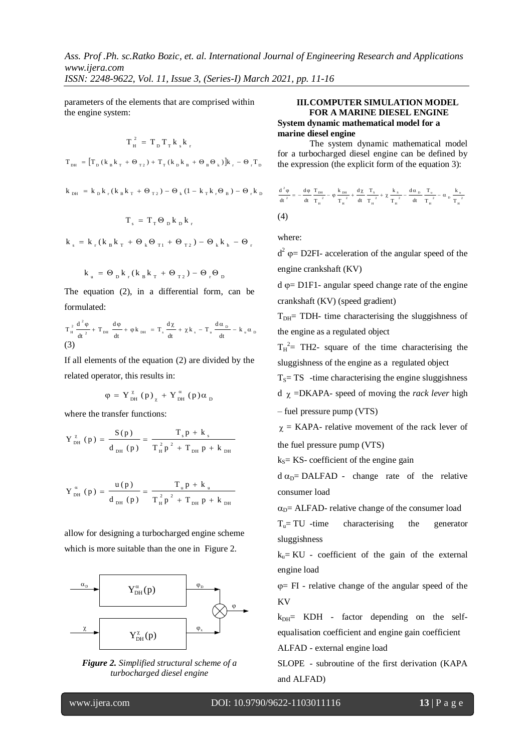*Ass. Prof .Ph. sc.Ratko Bozic, et. al. International Journal of Engineering Research and Applications www.ijera.com*

*ISSN: 2248-9622, Vol. 11, Issue 3, (Series-I) March 2021, pp. 11-16*

parameters of the elements that are comprised within the engine system:

$$
T_{H}^{2} = T_{D} T_{T} k_{s} k_{r}
$$
  
\n
$$
T_{DH} = [T_{D} (k_{B} k_{T} + \Theta_{T2}) + T_{T} (k_{D} k_{B} + \Theta_{B} \Theta_{k})]k_{r} - \Theta_{r} T_{D}
$$
  
\n
$$
k_{DH} = k_{D} k_{r} (k_{B} k_{T} + \Theta_{T2}) - \Theta_{k} (1 - k_{T} k_{r} \Theta_{B}) - \Theta_{r} k_{D}
$$

$$
T_s = T_T \Theta_b k_b k_r
$$

$$
k_{_s}\,=\,k_{_r}\,(k_{_B}\,k_{_T}\,+\,\Theta_{_k}\Theta_{_{T1}}\,+\,\Theta_{_{T2}}\,)\,-\,\Theta_{_k}\,k_{_h}\,-\,\Theta_{_r}
$$

$$
k_{\rm u} = \Theta_{\rm p} k_{\rm r} (k_{\rm B} k_{\rm T} + \Theta_{\rm T2}) - \Theta_{\rm r} \Theta_{\rm p}
$$

The equation (2), in a differential form, can be formulated:

$$
T_{_{H}}^{^{2}}\frac{d^{^{2}}\phi}{dt^{^{2}}}+T_{_{DH}}\frac{d\phi}{dt}+\phi\,k_{_{DH}}=T_{_{s}}\frac{d\chi}{dt}+\chi\,k_{_{s}}-T_{_{u}}\frac{d\alpha_{_{D}}}{dt}-k_{_{u}}\alpha_{_{D}}
$$
 (3)

If all elements of the equation (2) are divided by the related operator, this results in:

$$
\varphi = Y_{DH}^{\alpha} (p)_{\chi} + Y_{DH}^{\alpha} (p) \alpha_{D}
$$

where the transfer functions:

$$
Y_{DH}^{\chi} (p) = \frac{S(p)}{d_{DH} (p)} = \frac{T_s p + k_s}{T_H^2 p^2 + T_{DH} p + k_{DH}}
$$

$$
Y_{DH}^{\alpha} (p) = \frac{u(p)}{d_{DH} (p)} = \frac{T_{\mu} p + k_{\mu}}{T_{H}^{2} p^{2} + T_{DH} p + k_{DH}}
$$

allow for designing a turbocharged engine scheme which is more suitable than the one in Figure 2.



*Figure 2. Simplified structural scheme of a turbocharged diesel engine*

# **III.COMPUTER SIMULATION MODEL FOR A MARINE DIESEL ENGINE System dynamic mathematical model for a marine diesel engine**

The system dynamic mathematical model for a turbocharged diesel engine can be defined by the expression (the explicit form of the equation 3):

$$
\begin{aligned} \frac{d^{\frac{2}{\alpha}}\phi}{dt^{\frac{2}{\alpha}}} & = -\frac{d\phi}{dt}\frac{T_{_{DH}}}{T_{_{H}}^{^{-2}}}-\phi\,\frac{k_{_{DH}}}{T_{_{H}}^{^{-2}}}+\frac{d\chi}{dt}\,\frac{T_{_S}}{T_{_{H}}^{^{-2}}}+\chi\,\frac{k_{_S}}{T_{_{H}}^{^{-2}}}-\frac{d\alpha_{_{D}}}{dt}\,\frac{T_{_{u}}}{T_{_{H}}^{^{-2}}}-\alpha_{_{D}}\,\frac{k_{_{u}}}{T_{_{H}}^{^{-2}}} \end{aligned}
$$

where:

 $d^2 \varphi = D2FI$ - acceleration of the angular speed of the engine crankshaft (KV)

 $d \varphi = D1F1$ - angular speed change rate of the engine crankshaft (KV) (speed gradient)

 $T<sub>DH</sub>=$  TDH- time characterising the sluggishness of the engine as a regulated object

 $T_H^2$  = TH2- square of the time characterising the sluggishness of the engine as a regulated object

 $T<sub>S</sub>= TS$  -time characterising the engine sluggishness

 $d \chi = DKAPA$ - speed of moving the *rack lever* high

– fuel pressure pump (VTS)

 $\chi$  = KAPA- relative movement of the rack lever of the fuel pressure pump (VTS)

 $k<sub>S</sub>=$  KS- coefficient of the engine gain

 $d \alpha_{D} = DALFAD$  - change rate of the relative consumer load

 $\alpha_{D}$ = ALFAD- relative change of the consumer load

 $T<sub>u</sub>= TU$  -time characterising the generator sluggishness

 $k<sub>u</sub>$  = KU - coefficient of the gain of the external engine load

 $\varphi$  = FI - relative change of the angular speed of the KV

 $k_{DH}$  KDH - factor depending on the selfequalisation coefficient and engine gain coefficient

ALFAD - external engine load

SLOPE - subroutine of the first derivation (KAPA and ALFAD)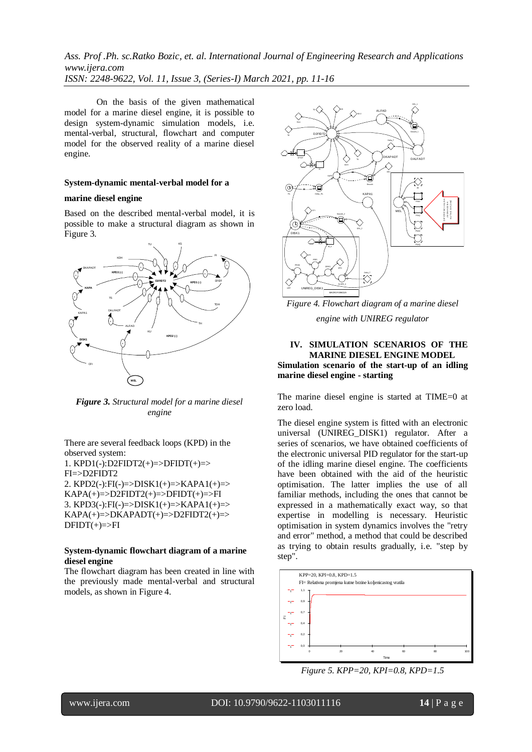On the basis of the given mathematical model for a marine diesel engine, it is possible to design system-dynamic simulation models, i.e. mental-verbal, structural, flowchart and computer model for the observed reality of a marine diesel engine.

## **System-dynamic mental-verbal model for a**

#### **marine diesel engine**

Based on the described mental-verbal model, it is possible to make a structural diagram as shown in Figure 3.



*Figure 3. Structural model for a marine diesel engine*

There are several feedback loops (KPD) in the observed system: 1. KPD1(-):D2FIDT2(+)=>DFIDT(+)=> FI=>D2FIDT2 2. KPD2(-): $FI(-)=DISK1(+)=&\text{KAPA1}(+)=\geq$  $KAPA(+) = D2FIDT2(+) = DFIDT(+) = FI$ 3. KPD3(-): $FI(-)=DISK1(+)=&>KAPA1(+)=&>$  $KAPA(+)=\neg DKAPADT(+)=\neg D2FIDT2(+)=\neg D2FIDT2(+)$  $DFIDT(+) = >FI$ 

## **System-dynamic flowchart diagram of a marine diesel engine**

The flowchart diagram has been created in line with the previously made mental-verbal and structural models, as shown in Figure 4.



*Figure 4. Flowchart diagram of a marine diesel engine with UNIREG regulator*

## **IV. SIMULATION SCENARIOS OF THE MARINE DIESEL ENGINE MODEL Simulation scenario of the start-up of an idling marine diesel engine - starting**

The marine diesel engine is started at TIME=0 at zero load.

The diesel engine system is fitted with an electronic universal (UNIREG\_DISK1) regulator. After a series of scenarios, we have obtained coefficients of the electronic universal PID regulator for the start-up of the idling marine diesel engine. The coefficients have been obtained with the aid of the heuristic optimisation. The latter implies the use of all familiar methods, including the ones that cannot be expressed in a mathematically exact way, so that expertise in modelling is necessary. Heuristic optimisation in system dynamics involves the "retry and error" method, a method that could be described as trying to obtain results gradually, i.e. "step by step".



*Figure 5. KPP=20, KPI=0.8, KPD=1.5*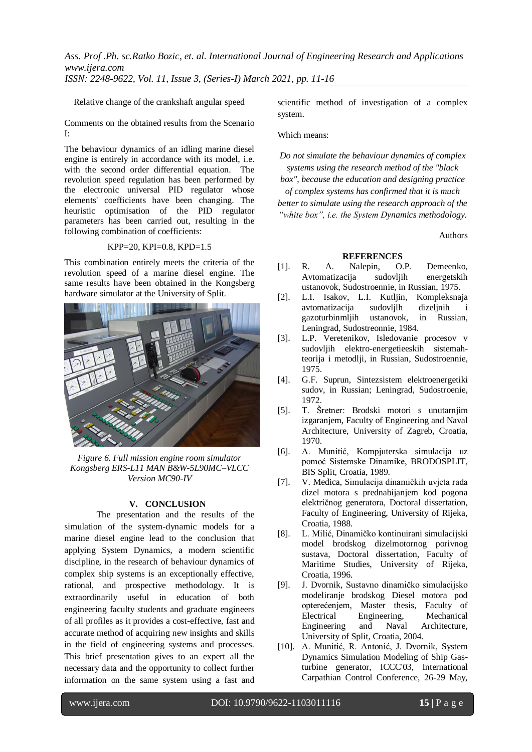Relative change of the crankshaft angular speed

Comments on the obtained results from the Scenario I:

The behaviour dynamics of an idling marine diesel engine is entirely in accordance with its model, i.e. with the second order differential equation. The revolution speed regulation has been performed by the electronic universal PID regulator whose elements' coefficients have been changing. The heuristic optimisation of the PID regulator parameters has been carried out, resulting in the following combination of coefficients:

#### KPP=20, KPI=0.8, KPD=1.5

This combination entirely meets the criteria of the revolution speed of a marine diesel engine. The same results have been obtained in the Kongsberg hardware simulator at the University of Split.



*Figure 6. Full mission engine room simulator Kongsberg ERS-L11 MAN B&W-5L90MC–VLCC Version MC90-IV*

# **V. CONCLUSION**

The presentation and the results of the simulation of the system-dynamic models for a marine diesel engine lead to the conclusion that applying System Dynamics, a modern scientific discipline, in the research of behaviour dynamics of complex ship systems is an exceptionally effective, rational, and prospective methodology. It is extraordinarily useful in education of both engineering faculty students and graduate engineers of all profiles as it provides a cost-effective, fast and accurate method of acquiring new insights and skills in the field of engineering systems and processes. This brief presentation gives to an expert all the necessary data and the opportunity to collect further information on the same system using a fast and

scientific method of investigation of a complex system.

Which means:

*Do not simulate the behaviour dynamics of complex systems using the research method of the "black* 

*box", because the education and designing practice of complex systems has confirmed that it is much better to simulate using the research approach of the "white box", i.e. the System Dynamics methodology.*

Authors

## **REFERENCES**

- [1]. R. A. Nalepin, O.P. Demeenko, Avtomatizacija sudovljih energetskih ustanovok, Sudostroennie, in Russian, 1975.
- [2]. L.I. Isakov, L.I. Kutljin, Kompleksnaja avtomatizacija sudovljlh dizeljnih i gazoturbinmljih ustanovok, in Russian, Leningrad, Sudostreonnie, 1984.
- [3]. L.P. Veretenikov, Isledovanie procesov v sudovljih elektro-energetieeskih sistemahteorija i metodlji, in Russian, Sudostroennie, 1975.
- [4]. G.F. Suprun, Sintezsistem elektroenergetiki sudov, in Russian; Leningrad, Sudostroenie, 1972.
- [5]. T. Šretner: Brodski motori s unutarnjim izgaranjem, Faculty of Engineering and Naval Architecture, University of Zagreb, Croatia, 1970.
- [6]. A. Munitić, Kompjuterska simulacija uz pomoć Sistemske Dinamike, BRODOSPLIT, BIS Split, Croatia, 1989.
- [7]. V. Medica, Simulacija dinamičkih uvjeta rada dizel motora s prednabijanjem kod pogona električnog generatora, Doctoral dissertation, Faculty of Engineering, University of Rijeka, Croatia, 1988.
- [8]. L. Milić, Dinamičko kontinuirani simulacijski model brodskog dizelmotornog porivnog sustava, Doctoral dissertation, Faculty of Maritime Studies, University of Rijeka, Croatia, 1996.
- [9]. J. Dvornik, Sustavno dinamičko simulacijsko modeliranje brodskog Diesel motora pod opterećenjem, Master thesis, Faculty of Electrical Engineering, Mechanical Engineering and Naval Architecture, University of Split, Croatia, 2004.
- [10]. A. Munitić, R. Antonić, J. Dvornik, System Dynamics Simulation Modeling of Ship Gasturbine generator, ICCC'03, International Carpathian Control Conference, 26-29 May,